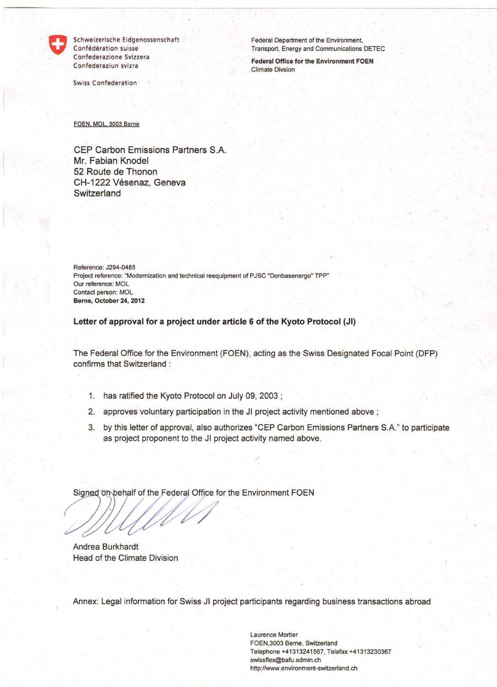

Schweizerische Eidgenossenschaft Confederation suisse Confederazione Svizzera Confederaziun svizra

Swiss Confederation

Federal Department of the Environment, Transport, Energy and Communications DETEC

**Federal Office for the Environment FOEN**  Climate Divsion

FOEN, MOL, 3003 Berne

CEP Carbon Emissions Partners S.A. Mr. Fabian Knodel 52 Route de Thonon CH-1222 Vésenaz, Geneva **Switzerland** 

Reference: J294-0485 Project reference: "Modernization and technical reequipment of PJSC "Donbasenergo" TPP" Our reference. MOL Contact person: MOL Berne, October **24, 2012** 

**Letter of approval for a project under article 6 of the Kyoto Protocol (JI)** 

The Federal Office for the Environment (FOEN), acting as the Swiss Designated Focal Point (DFP) confirms that Switzerland

- 1. has ratified the Kyoto Protocol on July 09, 2003;
- 2. approves voluntary participation in the JI project activity mentioned above;
- 3. by this letter of approval, also authorizes "CEP Carbon Emissions Partners S.A." to participate as project proponent to the JI project activity named above.

Signed on behalf of the Federal Office for the Environment FOEN

Andrea Burkhardt Head of the Climate Division

Annex: Legal information for Swiss JI project participants regarding business transactions abroad

Laurence Mortier FOEN,3003 Berne, Switzerland Telephone +41313241567, Telefax +41313230367 swissflex@bafu.admin.ch http://www.environment-switzerland.ch